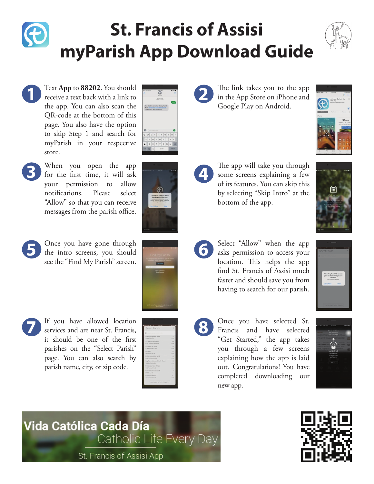## **St. Francis of Assisi myParish App Download Guide**



Text **App** to **88202**. You should receive a text back with a link to the app. You can also scan the QR-code at the bottom of this page. You also have the option to skip Step 1 and search for myParish in your respective store.



- **3** When you open the app for the first time, it will ask your permission to allow notifications. Please select "Allow" so that you can receive messages from the parish office.
	- **5** Once you have gone through the intro screens, you should see the "Find My Parish" screen.





**7** If you have allowed location services and are near St. Francis, it should be one of the first parishes on the "Select Parish" page. You can also search by parish name, city, or zip code.

| <b>MA £D/D7</b>                    |          |
|------------------------------------|----------|
| Select Parish                      | ×        |
| O Commissions Church               |          |
| St. Mary Magdalen Church           | 39       |
| 1253 52vd St. 5E                   | miles    |
| St. John Vianney Parish            | 44       |
| 4101 Clyde Fark Avenue SW          | miles    |
| 52. Joseph the Worker              | 6.4      |
| 3139 Birthwood St. SW              | miles.   |
| St. Pius X                         | 67       |
| 2037 Wilson Are SW                 | miles    |
| St. Mary's Visitation Parish       | 70       |
| 2450 145th Avenue, 530             | miles    |
| Holy Name of Jesus Catholic Church | 12       |
| 1630 Godfrey Ave SW                | ershes.  |
| Immeculate Heart of Mary           | 7.4      |
| 1935 Plymouth Ave SE               | miles    |
| St. Paul the Appetle Parish        | 7.9      |
| 2750 Barton SF                     | miles    |
| St. Stechen Parish                 | 82       |
| 723 Rotewood Ave SE                | pricket. |

**2** The link takes you to the app in the App Store on iPhone and Google Play on Android.



The app will take you through<br>
some screens explaining a few<br>
softis fortunes You can skin this of its features. You can skip this by selecting "Skip Intro" at the bottom of the app.



- **6** Select "Allow" when the app asks permission to access your location. This helps the app find St. Francis of Assisi much faster and should save you from having to search for our parish.
- 
- **8** Once you have selected St.<br>**8** Francis and have selected Francis and have selected "Get Started," the app takes you through a few screens explaining how the app is laid out. Congratulations! You have completed downloading our new app.



Vida Católica Cada Día Catholic Life Every Day St. Francis of Assisi App